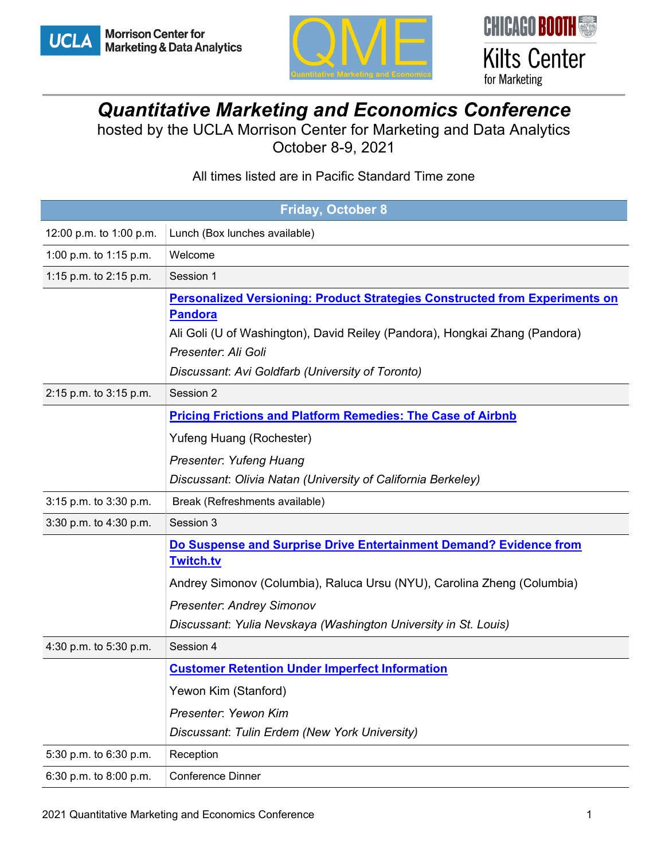



## *Quantitative Marketing and Economics Conference*

hosted by the UCLA Morrison Center for Marketing and Data Analytics October 8-9, 2021

## All times listed are in Pacific Standard Time zone

| <b>Friday, October 8</b> |                                                                                    |  |
|--------------------------|------------------------------------------------------------------------------------|--|
| 12:00 p.m. to 1:00 p.m.  | Lunch (Box lunches available)                                                      |  |
| 1:00 p.m. to 1:15 p.m.   | Welcome                                                                            |  |
| 1:15 p.m. to 2:15 p.m.   | Session 1                                                                          |  |
|                          | <b>Personalized Versioning: Product Strategies Constructed from Experiments on</b> |  |
|                          | <b>Pandora</b>                                                                     |  |
|                          | Ali Goli (U of Washington), David Reiley (Pandora), Hongkai Zhang (Pandora)        |  |
|                          | Presenter: Ali Goli                                                                |  |
|                          | Discussant: Avi Goldfarb (University of Toronto)                                   |  |
| 2:15 p.m. to 3:15 p.m.   | Session 2                                                                          |  |
|                          | <b>Pricing Frictions and Platform Remedies: The Case of Airbnb</b>                 |  |
|                          | Yufeng Huang (Rochester)                                                           |  |
|                          | Presenter: Yufeng Huang                                                            |  |
|                          | Discussant: Olivia Natan (University of California Berkeley)                       |  |
| 3:15 p.m. to 3:30 p.m.   | Break (Refreshments available)                                                     |  |
| 3:30 p.m. to 4:30 p.m.   | Session 3                                                                          |  |
|                          | Do Suspense and Surprise Drive Entertainment Demand? Evidence from                 |  |
|                          | <b>Twitch.tv</b>                                                                   |  |
|                          | Andrey Simonov (Columbia), Raluca Ursu (NYU), Carolina Zheng (Columbia)            |  |
|                          | <b>Presenter: Andrey Simonov</b>                                                   |  |
|                          | Discussant: Yulia Nevskaya (Washington University in St. Louis)                    |  |
| 4:30 p.m. to 5:30 p.m.   | Session 4                                                                          |  |
|                          | <b>Customer Retention Under Imperfect Information</b>                              |  |
|                          | Yewon Kim (Stanford)                                                               |  |
|                          | Presenter: Yewon Kim                                                               |  |
|                          | Discussant: Tulin Erdem (New York University)                                      |  |
| 5:30 p.m. to 6:30 p.m.   | Reception                                                                          |  |
| 6:30 p.m. to 8:00 p.m.   | Conference Dinner                                                                  |  |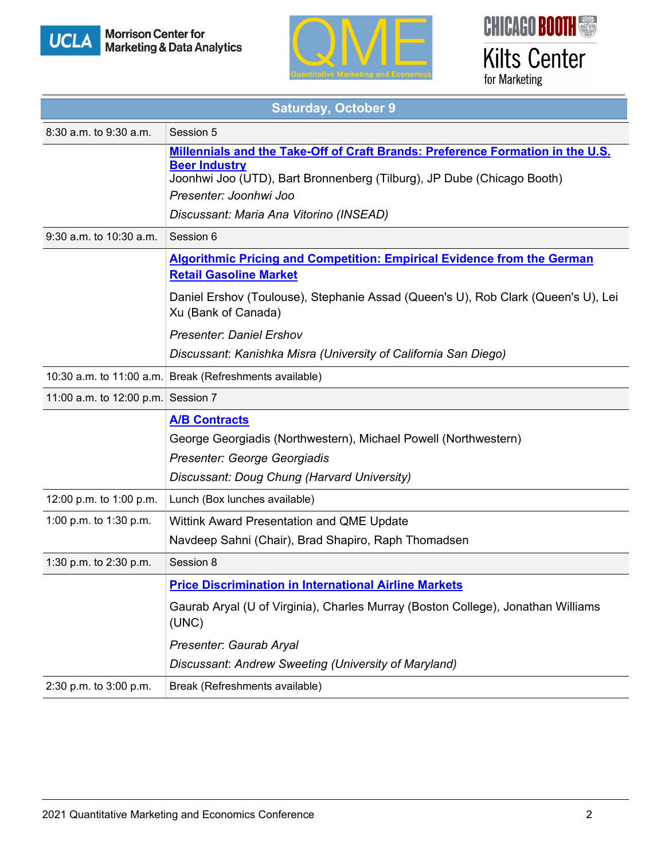





| <b>Saturday, October 9</b>         |                                                                                                                                                                                                                                                       |  |
|------------------------------------|-------------------------------------------------------------------------------------------------------------------------------------------------------------------------------------------------------------------------------------------------------|--|
| 8:30 a.m. to 9:30 a.m.             | Session 5                                                                                                                                                                                                                                             |  |
|                                    | Millennials and the Take-Off of Craft Brands: Preference Formation in the U.S.<br><b>Beer Industry</b><br>Joonhwi Joo (UTD), Bart Bronnenberg (Tilburg), JP Dube (Chicago Booth)<br>Presenter: Joonhwi Joo<br>Discussant: Maria Ana Vitorino (INSEAD) |  |
| 9:30 a.m. to 10:30 a.m.            | Session 6                                                                                                                                                                                                                                             |  |
|                                    | <b>Algorithmic Pricing and Competition: Empirical Evidence from the German</b><br><b>Retail Gasoline Market</b><br>Daniel Ershov (Toulouse), Stephanie Assad (Queen's U), Rob Clark (Queen's U), Lei<br>Xu (Bank of Canada)                           |  |
|                                    | <b>Presenter: Daniel Ershov</b><br>Discussant: Kanishka Misra (University of California San Diego)                                                                                                                                                    |  |
|                                    | 10:30 a.m. to 11:00 a.m. Break (Refreshments available)                                                                                                                                                                                               |  |
| 11:00 a.m. to 12:00 p.m. Session 7 |                                                                                                                                                                                                                                                       |  |
|                                    | <b>A/B Contracts</b><br>George Georgiadis (Northwestern), Michael Powell (Northwestern)<br>Presenter: George Georgiadis<br>Discussant: Doug Chung (Harvard University)                                                                                |  |
| 12:00 p.m. to 1:00 p.m.            | Lunch (Box lunches available)                                                                                                                                                                                                                         |  |
| 1:00 p.m. to 1:30 p.m.             | Wittink Award Presentation and QME Update<br>Navdeep Sahni (Chair), Brad Shapiro, Raph Thomadsen                                                                                                                                                      |  |
| 1:30 p.m. to 2:30 p.m.             | Session 8                                                                                                                                                                                                                                             |  |
|                                    | <b>Price Discrimination in International Airline Markets</b><br>Gaurab Aryal (U of Virginia), Charles Murray (Boston College), Jonathan Williams<br>(UNC)<br>Presenter: Gaurab Aryal<br>Discussant: Andrew Sweeting (University of Maryland)          |  |
| 2:30 p.m. to 3:00 p.m.             | Break (Refreshments available)                                                                                                                                                                                                                        |  |